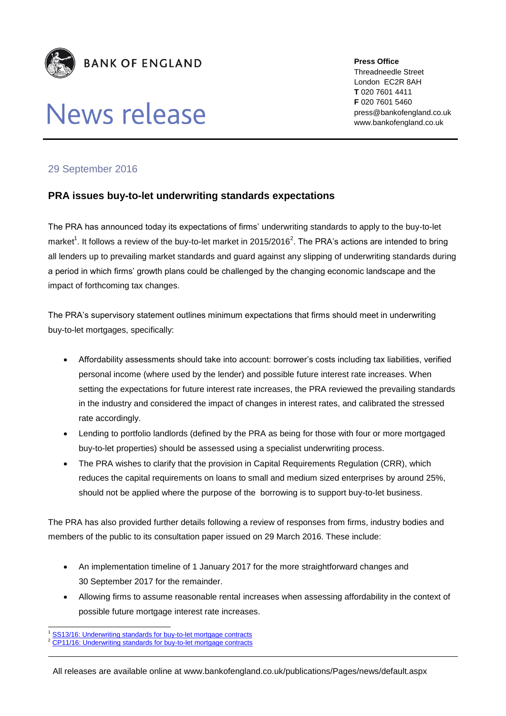

## News release

**Press Office** Threadneedle Street London EC2R 8AH **T** 020 7601 4411 **F** 020 7601 5460 press@bankofengland.co.uk www.bankofengland.co.uk

## 29 September 2016

## **PRA issues buy-to-let underwriting standards expectations**

The PRA has announced today its expectations of firms' underwriting standards to apply to the buy-to-let market<sup>1</sup>. It follows a review of the buy-to-let market in 2015/2016<sup>2</sup>. The PRA's actions are intended to bring all lenders up to prevailing market standards and guard against any slipping of underwriting standards during a period in which firms' growth plans could be challenged by the changing economic landscape and the impact of forthcoming tax changes.

The PRA's supervisory statement outlines minimum expectations that firms should meet in underwriting buy-to-let mortgages, specifically:

- Affordability assessments should take into account: borrower's costs including tax liabilities, verified personal income (where used by the lender) and possible future interest rate increases. When setting the expectations for future interest rate increases, the PRA reviewed the prevailing standards in the industry and considered the impact of changes in interest rates, and calibrated the stressed rate accordingly.
- Lending to portfolio landlords (defined by the PRA as being for those with four or more mortgaged buy-to-let properties) should be assessed using a specialist underwriting process.
- The PRA wishes to clarify that the provision in Capital Requirements Regulation (CRR), which reduces the capital requirements on loans to small and medium sized enterprises by around 25%, should not be applied where the purpose of the borrowing is to support buy-to-let business.

The PRA has also provided further details following a review of responses from firms, industry bodies and members of the public to its consultation paper issued on 29 March 2016. These include:

- An implementation timeline of 1 January 2017 for the more straightforward changes and 30 September 2017 for the remainder.
- Allowing firms to assume reasonable rental increases when assessing affordability in the context of possible future mortgage interest rate increases.

<sup>1</sup> [SS13/16: Underwriting standards for buy-to-let mortgage contracts](http://www.bankofengland.co.uk/pra/Pages/publications/ss/2016/ss1316.aspx)

<sup>2</sup> [CP11/16: Underwriting standards for buy-to-let mortgage contracts](http://www.bankofengland.co.uk/pra/Documents/publications/cp/2016/cp1116.pdf)